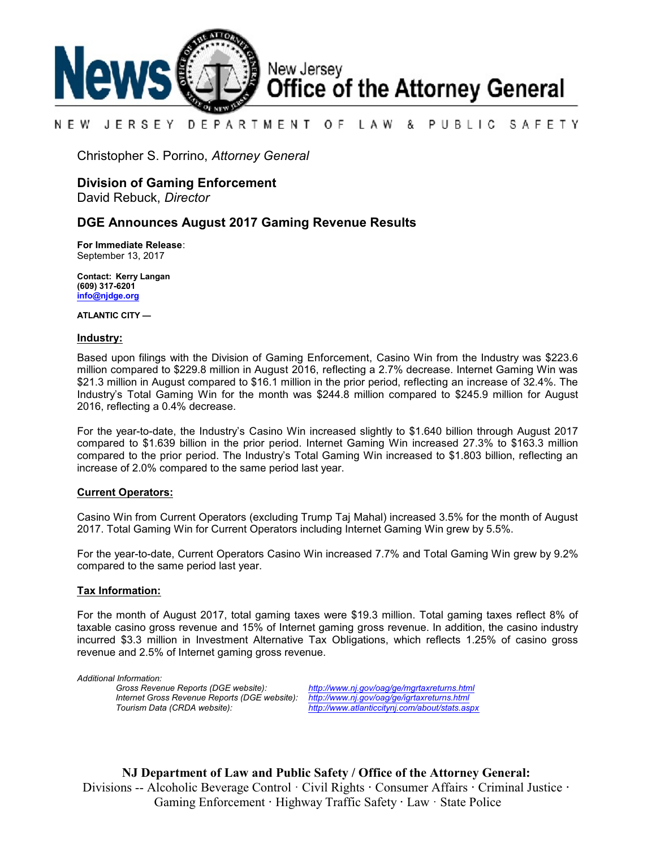

#### NEW JERSEY DEPARTMENT OF. LAW & PUBLIC SAFETY

Christopher S. Porrino, *Attorney General*

# **Division of Gaming Enforcement**

David Rebuck, *Director*

### **DGE Announces August 2017 Gaming Revenue Results**

**For Immediate Release**: September 13, 2017

**Contact: Kerry Langan (609) 317-6201 [info@njdge.org](file:///|//info@njdge.org)**

**ATLANTIC CITY —**

#### **Industry:**

Based upon filings with the Division of Gaming Enforcement, Casino Win from the Industry was \$223.6 million compared to \$229.8 million in August 2016, reflecting a 2.7% decrease. Internet Gaming Win was \$21.3 million in August compared to \$16.1 million in the prior period, reflecting an increase of 32.4%. The Industry's Total Gaming Win for the month was \$244.8 million compared to \$245.9 million for August 2016, reflecting a 0.4% decrease.

For the year-to-date, the Industry's Casino Win increased slightly to \$1.640 billion through August 2017 compared to \$1.639 billion in the prior period. Internet Gaming Win increased 27.3% to \$163.3 million compared to the prior period. The Industry's Total Gaming Win increased to \$1.803 billion, reflecting an increase of 2.0% compared to the same period last year.

#### **Current Operators:**

Casino Win from Current Operators (excluding Trump Taj Mahal) increased 3.5% for the month of August 2017. Total Gaming Win for Current Operators including Internet Gaming Win grew by 5.5%.

For the year-to-date, Current Operators Casino Win increased 7.7% and Total Gaming Win grew by 9.2% compared to the same period last year.

#### **Tax Information:**

For the month of August 2017, total gaming taxes were \$19.3 million. Total gaming taxes reflect 8% of taxable casino gross revenue and 15% of Internet gaming gross revenue. In addition, the casino industry incurred \$3.3 million in Investment Alternative Tax Obligations, which reflects 1.25% of casino gross revenue and 2.5% of Internet gaming gross revenue.

*Additional Information: Internet Gross Revenue Reports (DGE website): <http://www.nj.gov/oag/ge/igrtaxreturns.html>*

*Gross Revenue Reports (DGE website): <http://www.nj.gov/oag/ge/mgrtaxreturns.html> Tourism Data (CRDA website): <http://www.atlanticcitynj.com/about/stats.aspx>*

**NJ Department of Law and Public Safety / Office of the Attorney General:** Divisions -- Alcoholic Beverage Control · Civil Rights **·** Consumer Affairs **·** Criminal Justice **·**  Gaming Enforcement **·** Highway Traffic Safety **·** Law · State Police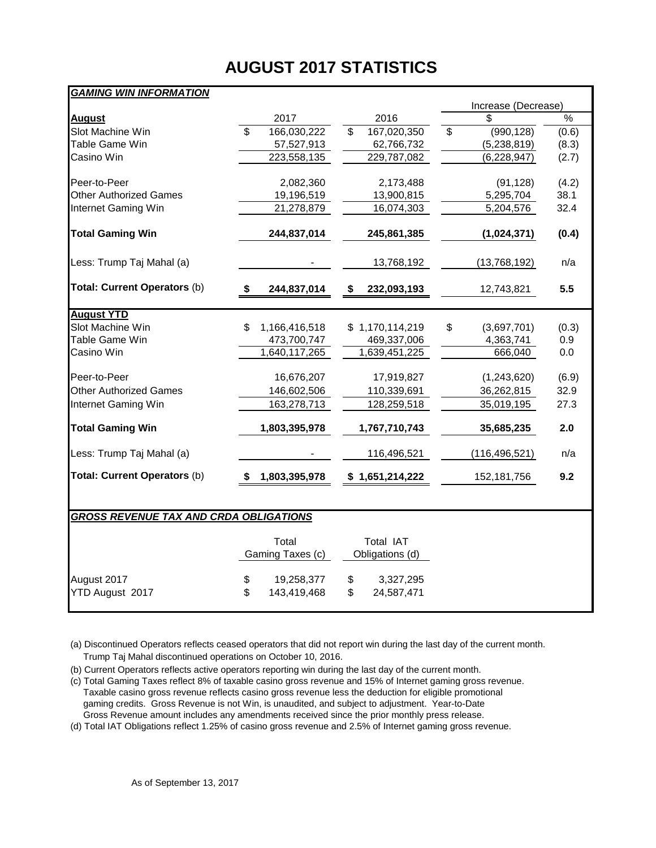# **AUGUST 2017 STATISTICS**

# *GAMING WIN INFORMATION*

|                                               |                                        |                                        | Increase (Decrease)                   |       |
|-----------------------------------------------|----------------------------------------|----------------------------------------|---------------------------------------|-------|
| <b>August</b>                                 | 2017                                   | 2016                                   | \$.                                   | %     |
| Slot Machine Win                              | $\overline{\mathbb{S}}$<br>166,030,222 | $\overline{\mathbb{S}}$<br>167,020,350 | $\overline{\mathbf{s}}$<br>(990, 128) | (0.6) |
| Table Game Win                                | 57,527,913                             | 62,766,732                             | (5,238,819)                           | (8.3) |
| Casino Win                                    | 223,558,135                            | 229,787,082                            | (6, 228, 947)                         | (2.7) |
|                                               |                                        |                                        |                                       |       |
| Peer-to-Peer                                  | 2,082,360                              | 2,173,488                              | (91, 128)                             | (4.2) |
| <b>Other Authorized Games</b>                 | 19,196,519                             | 13,900,815                             | 5,295,704                             | 38.1  |
| Internet Gaming Win                           | 21,278,879                             | 16,074,303                             | 5,204,576                             | 32.4  |
| <b>Total Gaming Win</b>                       | 244,837,014                            | 245,861,385                            | (1,024,371)                           | (0.4) |
| Less: Trump Taj Mahal (a)                     |                                        | 13,768,192                             | (13,768,192)                          | n/a   |
| Total: Current Operators (b)                  | \$<br>244,837,014                      | \$<br>232,093,193                      | 12,743,821                            | 5.5   |
| <b>August YTD</b>                             |                                        |                                        |                                       |       |
| Slot Machine Win                              | \$<br>1,166,416,518                    | \$1,170,114,219                        | \$<br>(3,697,701)                     | (0.3) |
| Table Game Win                                | 473,700,747                            | 469,337,006                            | 4,363,741                             | 0.9   |
| Casino Win                                    | 1,640,117,265                          | 1,639,451,225                          | 666,040                               | 0.0   |
| Peer-to-Peer                                  | 16,676,207                             | 17,919,827                             | (1,243,620)                           | (6.9) |
| <b>Other Authorized Games</b>                 |                                        |                                        |                                       | 32.9  |
|                                               | 146,602,506                            | 110,339,691                            | 36,262,815                            |       |
| Internet Gaming Win                           | 163,278,713                            | 128,259,518                            | 35,019,195                            | 27.3  |
| <b>Total Gaming Win</b>                       | 1,803,395,978                          | 1,767,710,743                          | 35,685,235                            | 2.0   |
| Less: Trump Taj Mahal (a)                     |                                        | 116,496,521                            | (116, 496, 521)                       | n/a   |
| Total: Current Operators (b)                  | 1,803,395,978<br>S.                    | \$1,651,214,222                        | 152, 181, 756                         | 9.2   |
|                                               |                                        |                                        |                                       |       |
| <b>GROSS REVENUE TAX AND CRDA OBLIGATIONS</b> |                                        |                                        |                                       |       |
|                                               | Total                                  | <b>Total IAT</b>                       |                                       |       |
|                                               | Gaming Taxes (c)                       | Obligations (d)                        |                                       |       |

|                 | Gaming Taxes (c) |    | Obligations (d) |  |  |  |  |
|-----------------|------------------|----|-----------------|--|--|--|--|
| August 2017     | 19,258,377       | \$ | 3,327,295       |  |  |  |  |
| YTD August 2017 | 143.419.468      | S  | 24,587,471      |  |  |  |  |
|                 |                  |    |                 |  |  |  |  |

(a) Discontinued Operators reflects ceased operators that did not report win during the last day of the current month. Trump Taj Mahal discontinued operations on October 10, 2016.

(b) Current Operators reflects active operators reporting win during the last day of the current month.

(c) Total Gaming Taxes reflect 8% of taxable casino gross revenue and 15% of Internet gaming gross revenue. Taxable casino gross revenue reflects casino gross revenue less the deduction for eligible promotional gaming credits. Gross Revenue is not Win, is unaudited, and subject to adjustment. Year-to-Date Gross Revenue amount includes any amendments received since the prior monthly press release.

(d) Total IAT Obligations reflect 1.25% of casino gross revenue and 2.5% of Internet gaming gross revenue.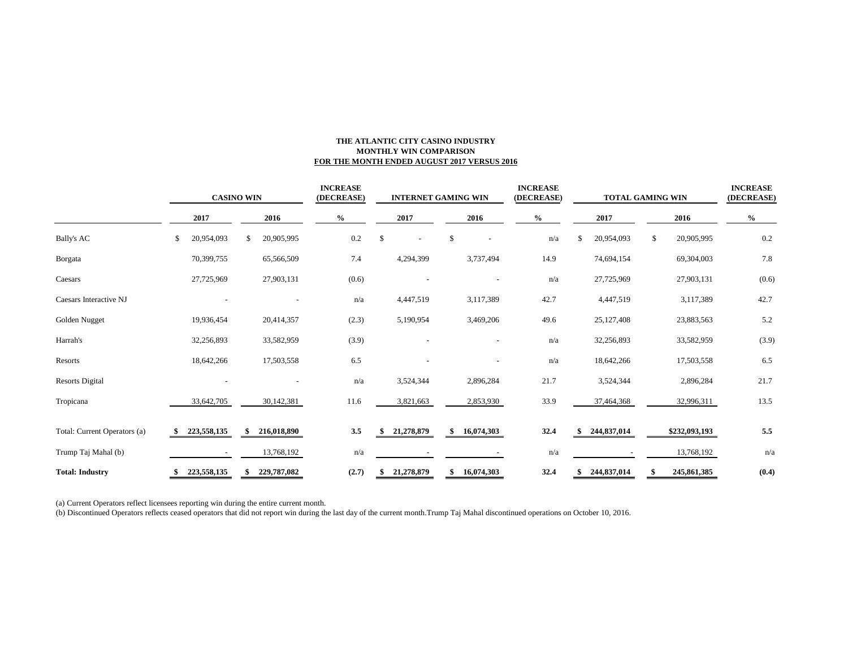#### **THE ATLANTIC CITY CASINO INDUSTRY MONTHLY WIN COMPARISON FOR THE MONTH ENDED AUGUST 2017 VERSUS 2016**

|                              | <b>CASINO WIN</b> |             |    |             | <b>INCREASE</b><br>(DECREASE) |       | <b>INTERNET GAMING WIN</b>     |    |              |  | <b>INCREASE</b><br>(DECREASE) |    | TOTAL GAMING WIN | <b>INCREASE</b><br>(DECREASE) |               |         |
|------------------------------|-------------------|-------------|----|-------------|-------------------------------|-------|--------------------------------|----|--------------|--|-------------------------------|----|------------------|-------------------------------|---------------|---------|
|                              | 2017              |             |    | 2016        | $\%$                          |       | 2017                           |    | 2016         |  | $\frac{6}{9}$                 |    | 2017             |                               | 2016          | $\%$    |
| <b>Bally's AC</b>            | \$                | 20,954,093  | S  | 20,905,995  |                               | 0.2   | \$<br>$\overline{\phantom{a}}$ | \$ |              |  | n/a                           | \$ | 20,954,093       | S.                            | 20,905,995    | 0.2     |
| Borgata                      |                   | 70,399,755  |    | 65,566,509  |                               | 7.4   | 4,294,399                      |    | 3,737,494    |  | 14.9                          |    | 74,694,154       |                               | 69,304,003    | 7.8     |
| Caesars                      |                   | 27,725,969  |    | 27,903,131  |                               | (0.6) |                                |    |              |  | n/a                           |    | 27,725,969       |                               | 27,903,131    | (0.6)   |
| Caesars Interactive NJ       |                   |             |    |             |                               | n/a   | 4,447,519                      |    | 3,117,389    |  | 42.7                          |    | 4,447,519        |                               | 3,117,389     | 42.7    |
| Golden Nugget                |                   | 19,936,454  |    | 20,414,357  |                               | (2.3) | 5,190,954                      |    | 3,469,206    |  | 49.6                          |    | 25,127,408       |                               | 23,883,563    | 5.2     |
| Harrah's                     |                   | 32,256,893  |    | 33,582,959  |                               | (3.9) |                                |    |              |  | n/a                           |    | 32,256,893       |                               | 33,582,959    | (3.9)   |
| Resorts                      |                   | 18,642,266  |    | 17,503,558  |                               | 6.5   |                                |    |              |  | n/a                           |    | 18,642,266       |                               | 17,503,558    | 6.5     |
| <b>Resorts Digital</b>       |                   |             |    |             |                               | n/a   | 3,524,344                      |    | 2,896,284    |  | 21.7                          |    | 3,524,344        |                               | 2,896,284     | 21.7    |
| Tropicana                    |                   | 33,642,705  |    | 30,142,381  |                               | 11.6  | 3,821,663                      |    | 2,853,930    |  | 33.9                          |    | 37,464,368       |                               | 32,996,311    | 13.5    |
| Total: Current Operators (a) |                   | 223,558,135 | -S | 216,018,890 |                               | 3.5   | 21,278,879                     |    | \$16,074,303 |  | 32.4                          |    | 244,837,014      |                               | \$232,093,193 | $5.5\,$ |
| Trump Taj Mahal (b)          |                   |             |    | 13,768,192  |                               | n/a   |                                |    |              |  | n/a                           |    |                  |                               | 13,768,192    | n/a     |
| <b>Total: Industry</b>       |                   | 223,558,135 |    | 229,787,082 |                               | (2.7) | 21,278,879                     | \$ | 16,074,303   |  | 32.4                          |    | 244,837,014      |                               | 245,861,385   | (0.4)   |

(a) Current Operators reflect licensees reporting win during the entire current month.

(b) Discontinued Operators reflects ceased operators that did not report win during the last day of the current month.Trump Taj Mahal discontinued operations on October 10, 2016.